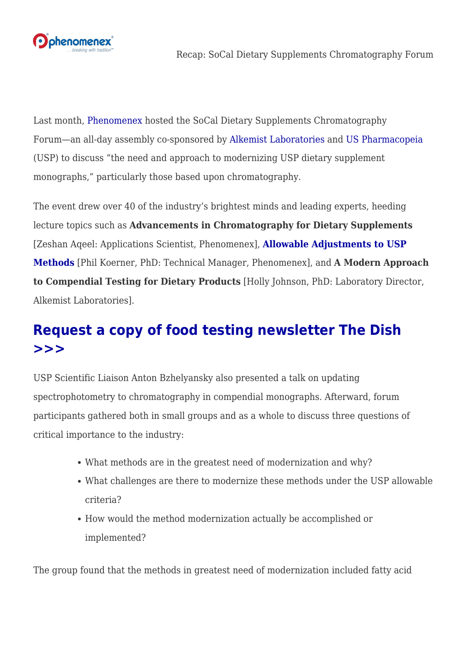

Last month, [Phenomenex](http://www.phenomenex.com) hosted the SoCal Dietary Supplements Chromatography Forum—an all-day assembly co-sponsored by [Alkemist Laboratories](https://www.alkemist.com/) and [US Pharmacopeia](http://www.usp.org) (USP) to discuss "the need and approach to modernizing USP dietary supplement monographs," particularly those based upon chromatography.

The event drew over 40 of the industry's brightest minds and leading experts, heeding lecture topics such as **Advancements in Chromatography for Dietary Supplements** [Zeshan Aqeel: Applications Scientist, Phenomenex], **[Allowable Adjustments to USP](http://www.slideshare.net/SandySimmons1/usp-lt621-allowable-adjustment-to-chromatography-hplc-methods) [Methods](http://www.slideshare.net/SandySimmons1/usp-lt621-allowable-adjustment-to-chromatography-hplc-methods)** [Phil Koerner, PhD: Technical Manager, Phenomenex], and **A Modern Approach to Compendial Testing for Dietary Products** [Holly Johnson, PhD: Laboratory Director, Alkemist Laboratories].

## **[Request a copy of food testing newsletter The Dish](https://www.phenomenex.com/Account/LogOn/form~2014dish) [>>>](https://www.phenomenex.com/Account/LogOn/form~2014dish)**

USP Scientific Liaison Anton Bzhelyansky also presented a talk on updating spectrophotometry to chromatography in compendial monographs. Afterward, forum participants gathered both in small groups and as a whole to discuss three questions of critical importance to the industry:

- What methods are in the greatest need of modernization and why?
- What challenges are there to modernize these methods under the USP allowable criteria?
- How would the method modernization actually be accomplished or implemented?

The group found that the methods in greatest need of modernization included fatty acid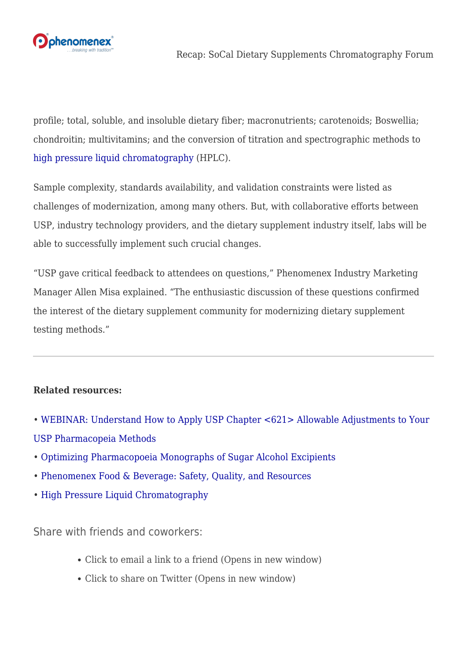

profile; total, soluble, and insoluble dietary fiber; macronutrients; carotenoids; Boswellia; chondroitin; multivitamins; and the conversion of titration and spectrographic methods to [high pressure liquid chromatography](https://www.phenomenex.com/hplc-column) (HPLC).

Sample complexity, standards availability, and validation constraints were listed as challenges of modernization, among many others. But, with collaborative efforts between USP, industry technology providers, and the dietary supplement industry itself, labs will be able to successfully implement such crucial changes.

"USP gave critical feedback to attendees on questions," Phenomenex Industry Marketing Manager Allen Misa explained. "The enthusiastic discussion of these questions confirmed the interest of the dietary supplement community for modernizing dietary supplement testing methods."

## **Related resources:**

- • [WEBINAR: Understand How to Apply USP Chapter <621> Allowable Adjustments to Your](https://www.phenomenex.com/Account/LogOn/form~16lcuspwebinar) [USP Pharmacopeia Methods](https://www.phenomenex.com/Account/LogOn/form~16lcuspwebinar)
- • [Optimizing Pharmacopoeia Monographs of Sugar Alcohol Excipients](http://www.phenomenex.com/Info/WebDocumentServe/tn40520216_w_rezez_sugar_alcohols.pdf)
- • [Phenomenex Food & Beverage: Safety, Quality, and Resources](http://www.phenomenex.com/foodresource)
- • [High Pressure Liquid Chromatography](https://www.phenomenex.com/hplc-column)

Share with friends and coworkers:

- [Click to email a link to a friend \(Opens in new window\)](mailto:?subject=%5BShared%20Post%5D%20Recap%3A%20SoCal%20Dietary%20Supplements%20Chromatography%20Forum&body=https%3A%2F%2Fphenomenex.blog%2F2016%2F08%2F25%2Frecap-socal-dietary-supplements-chromatography-forum%2F&share=email)
- [Click to share on Twitter \(Opens in new window\)](https://phenomenex.blog/2016/08/25/recap-socal-dietary-supplements-chromatography-forum/?share=twitter)